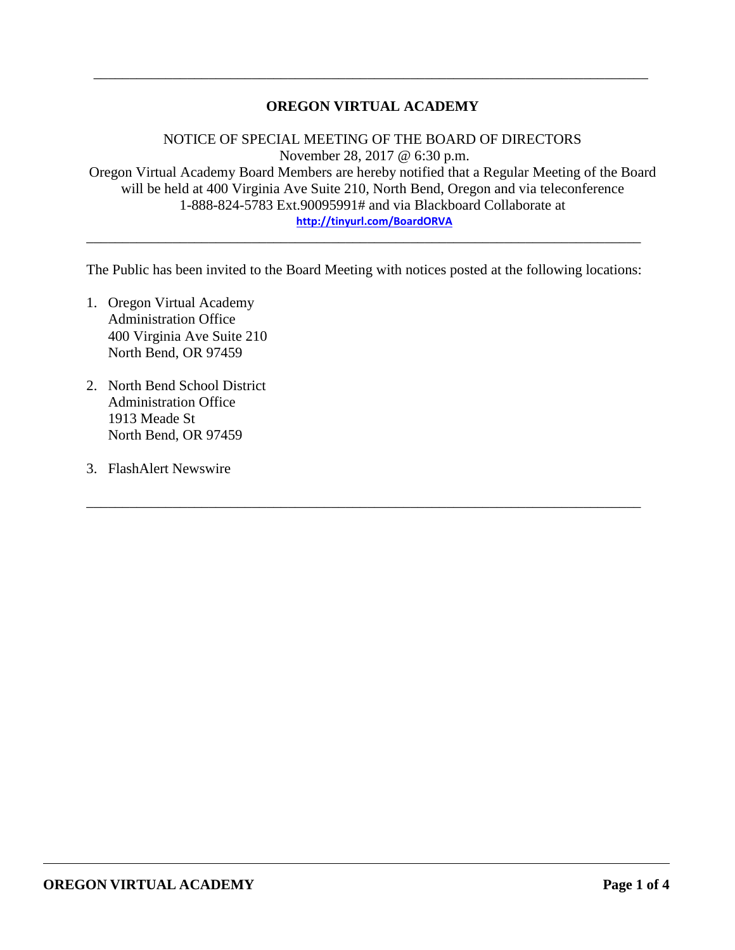# **OREGON VIRTUAL ACADEMY**

\_\_\_\_\_\_\_\_\_\_\_\_\_\_\_\_\_\_\_\_\_\_\_\_\_\_\_\_\_\_\_\_\_\_\_\_\_\_\_\_\_\_\_\_\_\_\_\_\_\_\_\_\_\_\_\_\_\_\_\_\_\_\_\_\_\_\_\_\_\_\_\_\_\_\_\_\_

NOTICE OF SPECIAL MEETING OF THE BOARD OF DIRECTORS November 28, 2017 @ 6:30 p.m. Oregon Virtual Academy Board Members are hereby notified that a Regular Meeting of the Board will be held at 400 Virginia Ave Suite 210, North Bend, Oregon and via teleconference 1-888-824-5783 Ext.90095991# and via Blackboard Collaborate at **<http://tinyurl.com/BoardORVA>**

The Public has been invited to the Board Meeting with notices posted at the following locations:

\_\_\_\_\_\_\_\_\_\_\_\_\_\_\_\_\_\_\_\_\_\_\_\_\_\_\_\_\_\_\_\_\_\_\_\_\_\_\_\_\_\_\_\_\_\_\_\_\_\_\_\_\_\_\_\_\_\_\_\_\_\_\_\_\_\_\_\_\_\_\_\_\_\_\_\_\_

\_\_\_\_\_\_\_\_\_\_\_\_\_\_\_\_\_\_\_\_\_\_\_\_\_\_\_\_\_\_\_\_\_\_\_\_\_\_\_\_\_\_\_\_\_\_\_\_\_\_\_\_\_\_\_\_\_\_\_\_\_\_\_\_\_\_\_\_\_\_\_\_\_\_\_\_\_

- 1. Oregon Virtual Academy Administration Office 400 Virginia Ave Suite 210 North Bend, OR 97459
- 2. North Bend School District Administration Office 1913 Meade St North Bend, OR 97459
- 3. FlashAlert Newswire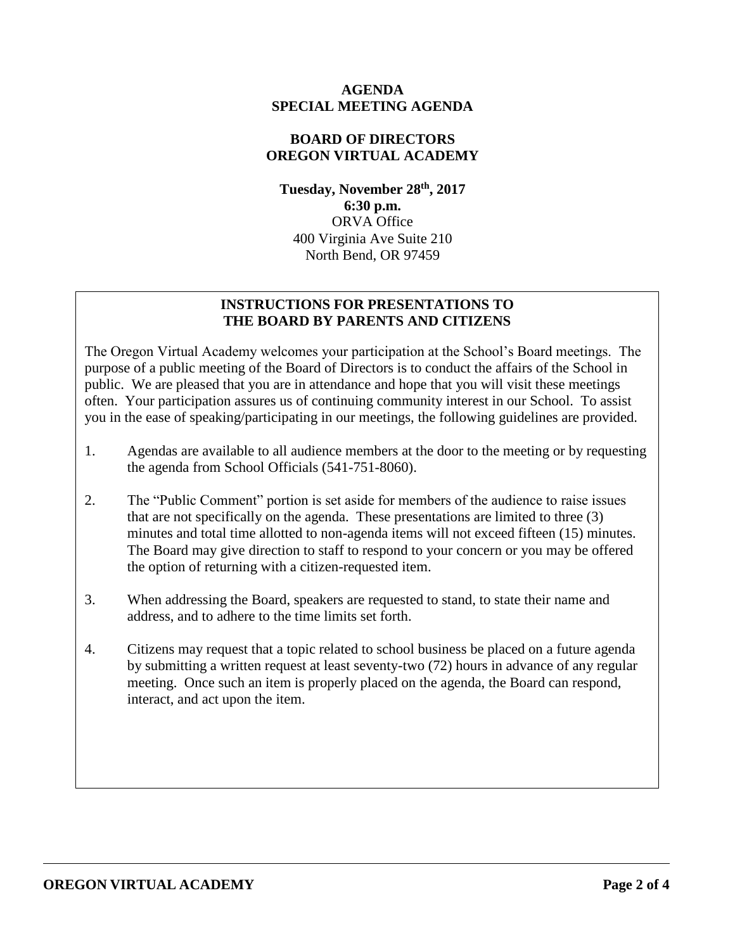### **AGENDA SPECIAL MEETING AGENDA**

# **BOARD OF DIRECTORS OREGON VIRTUAL ACADEMY**

**Tuesday, November 28th , 2017 6:30 p.m.** ORVA Office 400 Virginia Ave Suite 210 North Bend, OR 97459

# **INSTRUCTIONS FOR PRESENTATIONS TO THE BOARD BY PARENTS AND CITIZENS**

The Oregon Virtual Academy welcomes your participation at the School's Board meetings. The purpose of a public meeting of the Board of Directors is to conduct the affairs of the School in public. We are pleased that you are in attendance and hope that you will visit these meetings often. Your participation assures us of continuing community interest in our School. To assist you in the ease of speaking/participating in our meetings, the following guidelines are provided.

- 1. Agendas are available to all audience members at the door to the meeting or by requesting the agenda from School Officials (541-751-8060).
- 2. The "Public Comment" portion is set aside for members of the audience to raise issues that are not specifically on the agenda. These presentations are limited to three (3) minutes and total time allotted to non-agenda items will not exceed fifteen (15) minutes. The Board may give direction to staff to respond to your concern or you may be offered the option of returning with a citizen-requested item.
- 3. When addressing the Board, speakers are requested to stand, to state their name and address, and to adhere to the time limits set forth.
- 4. Citizens may request that a topic related to school business be placed on a future agenda by submitting a written request at least seventy-two (72) hours in advance of any regular meeting. Once such an item is properly placed on the agenda, the Board can respond, interact, and act upon the item.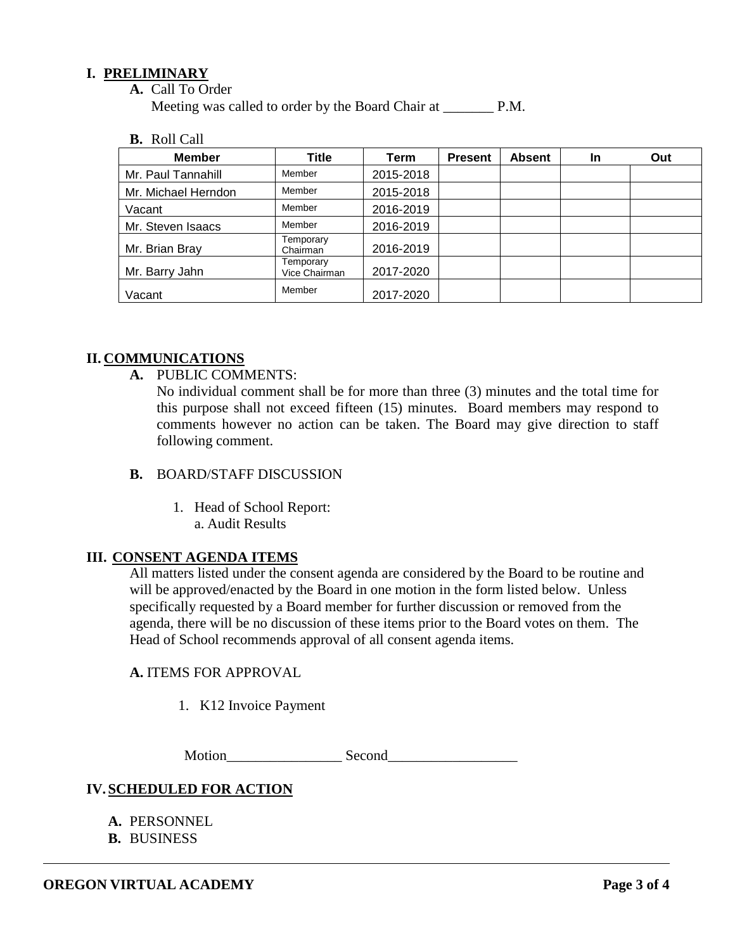### **I. PRELIMINARY**

**A.** Call To Order

Meeting was called to order by the Board Chair at P.M.

**B.** Roll Call

| <b>Member</b>       | Title                      | Term      | <b>Present</b> | <b>Absent</b> | <b>In</b> | Out |
|---------------------|----------------------------|-----------|----------------|---------------|-----------|-----|
| Mr. Paul Tannahill  | Member                     | 2015-2018 |                |               |           |     |
| Mr. Michael Herndon | Member                     | 2015-2018 |                |               |           |     |
| Vacant              | Member                     | 2016-2019 |                |               |           |     |
| Mr. Steven Isaacs   | Member                     | 2016-2019 |                |               |           |     |
| Mr. Brian Bray      | Temporary<br>Chairman      | 2016-2019 |                |               |           |     |
| Mr. Barry Jahn      | Temporary<br>Vice Chairman | 2017-2020 |                |               |           |     |
| Vacant              | Member                     | 2017-2020 |                |               |           |     |

#### **II. COMMUNICATIONS**

**A.** PUBLIC COMMENTS:

No individual comment shall be for more than three (3) minutes and the total time for this purpose shall not exceed fifteen (15) minutes. Board members may respond to comments however no action can be taken. The Board may give direction to staff following comment.

- **B.** BOARD/STAFF DISCUSSION
	- 1. Head of School Report: a. Audit Results

#### **III. CONSENT AGENDA ITEMS**

All matters listed under the consent agenda are considered by the Board to be routine and will be approved/enacted by the Board in one motion in the form listed below. Unless specifically requested by a Board member for further discussion or removed from the agenda, there will be no discussion of these items prior to the Board votes on them. The Head of School recommends approval of all consent agenda items.

### **A.** ITEMS FOR APPROVAL

1. K12 Invoice Payment

Motion Second

#### **IV.SCHEDULED FOR ACTION**

- **A.** PERSONNEL
- **B.** BUSINESS